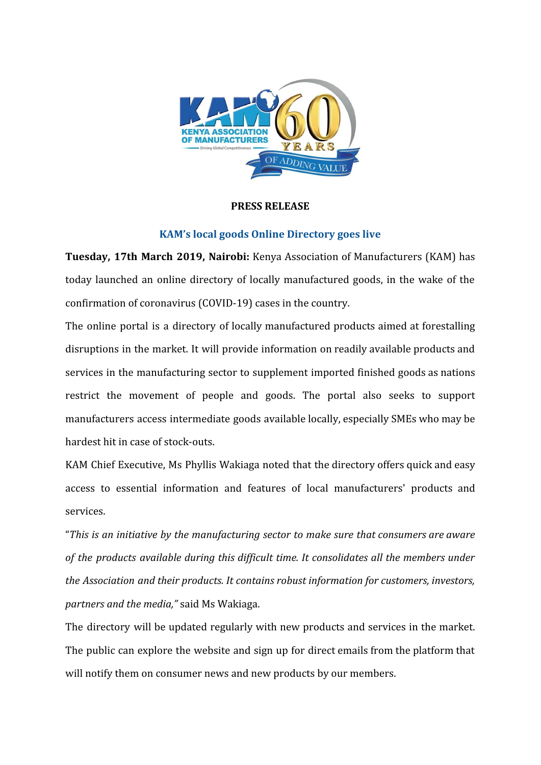

## **PRESS RELEASE**

## **KAM's local goods Online Directory goes live**

**Tuesday, 17th March 2019, Nairobi:** Kenya Association of Manufacturers (KAM) has today launched an online directory of locally manufactured goods, in the wake of the confirmation of coronavirus (COVID-19) cases in the country.

The online portal is a directory of locally manufactured products aimed at forestalling disruptions in the market. It will provide information on readily available products and services in the manufacturing sector to supplement imported finished goods as nations restrict the movement of people and goods. The portal also seeks to support manufacturers access intermediate goods available locally, especially SMEs who may be hardest hit in case of stock-outs.

KAM Chief Executive, Ms Phyllis Wakiaga noted that the directory offers quick and easy access to essential information and features of local manufacturers' products and services.

"*This is an initiative by the manufacturing sector to make sure that consumers are aware of the products available during this difficult time. It consolidates all the members under the Association and their products. It contains robust information for customers, investors, partners and the media,"* said Ms Wakiaga.

The directory will be updated regularly with new products and services in the market. The public can explore the website and sign up for direct emails from the platform that will notify them on consumer news and new products by our members.